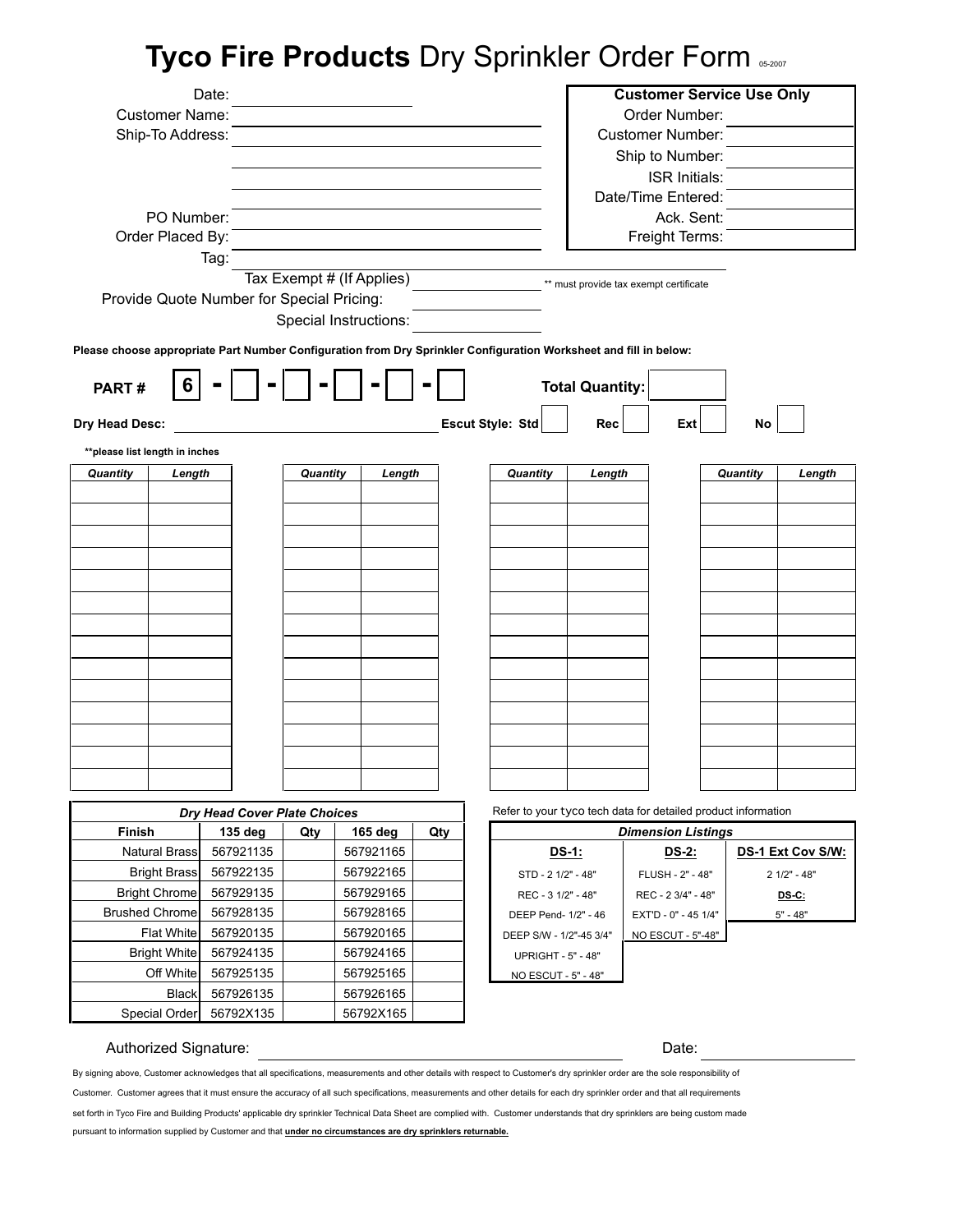# **Tyco Fire Products** Dry Sprinkler Order Form 05-2007

|                                                                                                                   | Date:                                     |          |                           |     |                           |                        | <b>Customer Service Use Only</b>                              |          |                   |
|-------------------------------------------------------------------------------------------------------------------|-------------------------------------------|----------|---------------------------|-----|---------------------------|------------------------|---------------------------------------------------------------|----------|-------------------|
| <b>Customer Name:</b>                                                                                             |                                           |          |                           |     |                           |                        | Order Number:                                                 |          |                   |
| Ship-To Address:                                                                                                  |                                           |          |                           |     |                           |                        | <b>Customer Number:</b>                                       |          |                   |
|                                                                                                                   |                                           |          |                           |     |                           |                        | Ship to Number:                                               |          |                   |
|                                                                                                                   |                                           |          |                           |     |                           |                        | <b>ISR Initials:</b>                                          |          |                   |
|                                                                                                                   |                                           |          |                           |     |                           |                        | Date/Time Entered:                                            |          |                   |
|                                                                                                                   | PO Number:                                |          |                           |     |                           |                        | Ack. Sent:                                                    |          |                   |
| Order Placed By:                                                                                                  |                                           |          |                           |     |                           |                        | Freight Terms:                                                |          |                   |
|                                                                                                                   | Tag:                                      |          |                           |     |                           |                        |                                                               |          |                   |
|                                                                                                                   |                                           |          | Tax Exempt # (If Applies) |     |                           |                        | ** must provide tax exempt certificate                        |          |                   |
|                                                                                                                   | Provide Quote Number for Special Pricing: |          |                           |     |                           |                        |                                                               |          |                   |
|                                                                                                                   |                                           |          | Special Instructions:     |     |                           |                        |                                                               |          |                   |
| Please choose appropriate Part Number Configuration from Dry Sprinkler Configuration Worksheet and fill in below: |                                           |          |                           |     |                           |                        |                                                               |          |                   |
|                                                                                                                   |                                           |          |                           |     |                           |                        |                                                               |          |                   |
| PART#                                                                                                             | 6                                         |          |                           |     |                           | <b>Total Quantity:</b> |                                                               |          |                   |
|                                                                                                                   |                                           |          |                           |     |                           |                        |                                                               |          |                   |
| Dry Head Desc:                                                                                                    |                                           |          |                           |     | <b>Escut Style: Std</b>   | Rec                    | Ext                                                           | No       |                   |
| **please list length in inches                                                                                    |                                           |          |                           |     |                           |                        |                                                               |          |                   |
| Quantity                                                                                                          | Length                                    | Quantity | Length                    |     | Quantity                  | Length                 |                                                               | Quantity | Length            |
|                                                                                                                   |                                           |          |                           |     |                           |                        |                                                               |          |                   |
|                                                                                                                   |                                           |          |                           |     |                           |                        |                                                               |          |                   |
|                                                                                                                   |                                           |          |                           |     |                           |                        |                                                               |          |                   |
|                                                                                                                   |                                           |          |                           |     |                           |                        |                                                               |          |                   |
|                                                                                                                   |                                           |          |                           |     |                           |                        |                                                               |          |                   |
|                                                                                                                   |                                           |          |                           |     |                           |                        |                                                               |          |                   |
|                                                                                                                   |                                           |          |                           |     |                           |                        |                                                               |          |                   |
|                                                                                                                   |                                           |          |                           |     |                           |                        |                                                               |          |                   |
|                                                                                                                   |                                           |          |                           |     |                           |                        |                                                               |          |                   |
|                                                                                                                   |                                           |          |                           |     |                           |                        |                                                               |          |                   |
|                                                                                                                   |                                           |          |                           |     |                           |                        |                                                               |          |                   |
|                                                                                                                   |                                           |          |                           |     |                           |                        |                                                               |          |                   |
|                                                                                                                   |                                           |          |                           |     |                           |                        |                                                               |          |                   |
|                                                                                                                   |                                           |          |                           |     |                           |                        |                                                               |          |                   |
|                                                                                                                   |                                           |          |                           |     |                           |                        |                                                               |          |                   |
|                                                                                                                   |                                           |          |                           |     |                           |                        |                                                               |          |                   |
|                                                                                                                   | Dry Head Cover Plate Choices              |          |                           |     |                           |                        | Refer to your tyco tech data for detailed product information |          |                   |
| Finish                                                                                                            | 135 deg                                   | Qty      | 165 deg                   | Qty |                           |                        | <b>Dimension Listings</b>                                     |          |                   |
| <b>Natural Brass</b>                                                                                              | 567921135                                 |          | 567921165                 |     | <b>DS-1:</b>              |                        | <u>DS-2:</u>                                                  |          | DS-1 Ext Cov S/W: |
| <b>Bright Brass</b>                                                                                               | 567922135                                 |          | 567922165                 |     | STD - 2 1/2" - 48"        |                        | FLUSH - 2" - 48"                                              |          | $21/2" - 48"$     |
| <b>Bright Chrome</b>                                                                                              | 567929135                                 |          | 567929165                 |     | REC - 3 1/2" - 48"        |                        | REC - 2 3/4" - 48"                                            |          | $DS-C$ :          |
| <b>Brushed Chrome</b>                                                                                             | 567928135                                 |          | 567928165                 |     | DEEP Pend- 1/2" - 46      |                        | EXT'D - 0" - 45 1/4"                                          |          | $5" - 48"$        |
| <b>Flat White</b>                                                                                                 | 567920135                                 |          | 567920165                 |     | DEEP S/W - 1/2"-45 3/4"   |                        | NO ESCUT - 5"-48"                                             |          |                   |
| <b>Bright White</b>                                                                                               | 567924135                                 |          | 567924165                 |     | <b>UPRIGHT - 5" - 48"</b> |                        |                                                               |          |                   |
| Off White                                                                                                         | 567925135                                 |          | 567925165                 |     | NO ESCUT - 5" - 48"       |                        |                                                               |          |                   |
| <b>Black</b>                                                                                                      | 567926135                                 |          | 567926165                 |     |                           |                        |                                                               |          |                   |
| Special Order                                                                                                     | 56792X135                                 |          | 56792X165                 |     |                           |                        |                                                               |          |                   |

## Authorized Signature:

Date:

By signing above, Customer acknowledges that all specifications, measurements and other details with respect to Customer's dry sprinkler order are the sole responsibility of

Customer. Customer agrees that it must ensure the accuracy of all such specifications, measurements and other details for each dry sprinkler order and that all requirements set forth in Tyco Fire and Building Products' applicable dry sprinkler Technical Data Sheet are complied with. Customer understands that dry sprinklers are being custom made

pursuant to information supplied by Customer and that **under no circumstances are dry sprinklers returnable.**